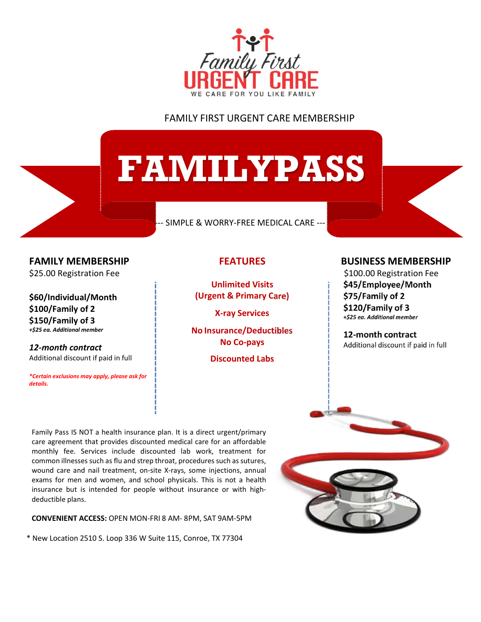

## FAMILY FIRST URGENT CARE MEMBERSHIP

# FAMILYPASS

#### --- SIMPLE & WORRY-FREE MEDICAL CARE ---

FAMILY MEMBERSHIP \$25.00 Registration Fee

\$60/Individual/Month \$100/Family of 2 \$150/Family of 3 +\$25 ea. Additional member

12-month contract Additional discount if paid in full

\*Certain exclusions may apply, please ask for details.

## FEATURES

Unlimited Visits (Urgent & Primary Care)

X-ray Services

No Insurance/Deductibles No Co-pays

Discounted Labs

### BUSINESS MEMBERSHIP

 \$100.00 Registration Fee \$45/Employee/Month \$75/Family of 2 \$120/Family of 3 +\$25 ea. Additional member

12-month contract Additional discount if paid in full

Family Pass IS NOT a health insurance plan. It is a direct urgent/primary care agreement that provides discounted medical care for an affordable monthly fee. Services include discounted lab work, treatment for common illnesses such as flu and strep throat, procedures such as sutures, wound care and nail treatment, on-site X-rays, some injections, annual exams for men and women, and school physicals. This is not a health insurance but is intended for people without insurance or with highdeductible plans.

CONVENIENT ACCESS: OPEN MON-FRI 8 AM- 8PM, SAT 9AM-5PM

\* New Location 2510 S. Loop 336 W Suite 115, Conroe, TX 77304